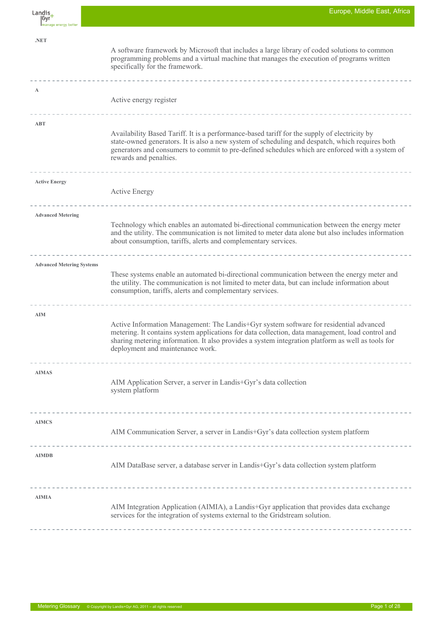| Europe, Middle East, Africa |  |  |
|-----------------------------|--|--|
|                             |  |  |

| Landis,<br> Gyr<br>Imanage energy better | Europe, Middle East, Africa                                                                                                                                                                                                                                                                                                         |
|------------------------------------------|-------------------------------------------------------------------------------------------------------------------------------------------------------------------------------------------------------------------------------------------------------------------------------------------------------------------------------------|
| .NET                                     | A software framework by Microsoft that includes a large library of coded solutions to common<br>programming problems and a virtual machine that manages the execution of programs written<br>specifically for the framework.                                                                                                        |
| A                                        | Active energy register                                                                                                                                                                                                                                                                                                              |
| ABT                                      | Availability Based Tariff. It is a performance-based tariff for the supply of electricity by<br>state-owned generators. It is also a new system of scheduling and despatch, which requires both<br>generators and consumers to commit to pre-defined schedules which are enforced with a system of<br>rewards and penalties.        |
| <b>Active Energy</b>                     | <b>Active Energy</b>                                                                                                                                                                                                                                                                                                                |
| <b>Advanced Metering</b>                 | Technology which enables an automated bi-directional communication between the energy meter<br>and the utility. The communication is not limited to meter data alone but also includes information<br>about consumption, tariffs, alerts and complementary services.                                                                |
| <b>Advanced Metering Systems</b>         | These systems enable an automated bi-directional communication between the energy meter and<br>the utility. The communication is not limited to meter data, but can include information about<br>consumption, tariffs, alerts and complementary services.                                                                           |
| <b>AIM</b>                               | Active Information Management: The Landis+Gyr system software for residential advanced<br>metering. It contains system applications for data collection, data management, load control and<br>sharing metering information. It also provides a system integration platform as well as tools for<br>deployment and maintenance work. |
| <b>AIMAS</b>                             | AIM Application Server, a server in Landis+Gyr's data collection<br>system platform                                                                                                                                                                                                                                                 |
| <b>AIMCS</b>                             | AIM Communication Server, a server in Landis+Gyr's data collection system platform                                                                                                                                                                                                                                                  |
| <b>AIMDB</b>                             | AIM DataBase server, a database server in Landis+Gyr's data collection system platform                                                                                                                                                                                                                                              |
| <b>AIMIA</b>                             | AIM Integration Application (AIMIA), a Landis+Gyr application that provides data exchange<br>services for the integration of systems external to the Gridstream solution.                                                                                                                                                           |
|                                          |                                                                                                                                                                                                                                                                                                                                     |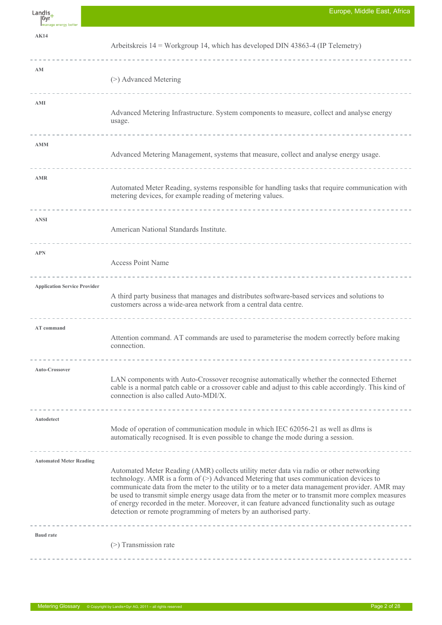| Landis<br> Gyr<br>Imanage energy better | Europe, Middle East, Africa                                                                                                                                                                                                                                                                                                                                                                                                                                                                                                                                      |
|-----------------------------------------|------------------------------------------------------------------------------------------------------------------------------------------------------------------------------------------------------------------------------------------------------------------------------------------------------------------------------------------------------------------------------------------------------------------------------------------------------------------------------------------------------------------------------------------------------------------|
| <b>AK14</b>                             | Arbeitskreis $14$ = Workgroup 14, which has developed DIN 43863-4 (IP Telemetry)                                                                                                                                                                                                                                                                                                                                                                                                                                                                                 |
| AM                                      | (>) Advanced Metering                                                                                                                                                                                                                                                                                                                                                                                                                                                                                                                                            |
| AMI                                     | Advanced Metering Infrastructure. System components to measure, collect and analyse energy<br>usage.                                                                                                                                                                                                                                                                                                                                                                                                                                                             |
| <b>AMM</b>                              | Advanced Metering Management, systems that measure, collect and analyse energy usage.                                                                                                                                                                                                                                                                                                                                                                                                                                                                            |
| <b>AMR</b>                              | Automated Meter Reading, systems responsible for handling tasks that require communication with<br>metering devices, for example reading of metering values.                                                                                                                                                                                                                                                                                                                                                                                                     |
| <b>ANSI</b>                             | American National Standards Institute.                                                                                                                                                                                                                                                                                                                                                                                                                                                                                                                           |
| <b>APN</b>                              | <b>Access Point Name</b>                                                                                                                                                                                                                                                                                                                                                                                                                                                                                                                                         |
| <b>Application Service Provider</b>     | A third party business that manages and distributes software-based services and solutions to<br>customers across a wide-area network from a central data centre.                                                                                                                                                                                                                                                                                                                                                                                                 |
| AT command                              | Attention command. AT commands are used to parameterise the modem correctly before making<br>connection.                                                                                                                                                                                                                                                                                                                                                                                                                                                         |
| Auto-Crossover                          | LAN components with Auto-Crossover recognise automatically whether the connected Ethernet<br>cable is a normal patch cable or a crossover cable and adjust to this cable accordingly. This kind of<br>connection is also called Auto-MDI/X.                                                                                                                                                                                                                                                                                                                      |
| Autodetect                              | Mode of operation of communication module in which IEC 62056-21 as well as dlms is<br>automatically recognised. It is even possible to change the mode during a session.                                                                                                                                                                                                                                                                                                                                                                                         |
| <b>Automated Meter Reading</b>          | Automated Meter Reading (AMR) collects utility meter data via radio or other networking<br>technology. AMR is a form of $(>)$ Advanced Metering that uses communication devices to<br>communicate data from the meter to the utility or to a meter data management provider. AMR may<br>be used to transmit simple energy usage data from the meter or to transmit more complex measures<br>of energy recorded in the meter. Moreover, it can feature advanced functionality such as outage<br>detection or remote programming of meters by an authorised party. |
| <b>Baud</b> rate                        | $(>)$ Transmission rate                                                                                                                                                                                                                                                                                                                                                                                                                                                                                                                                          |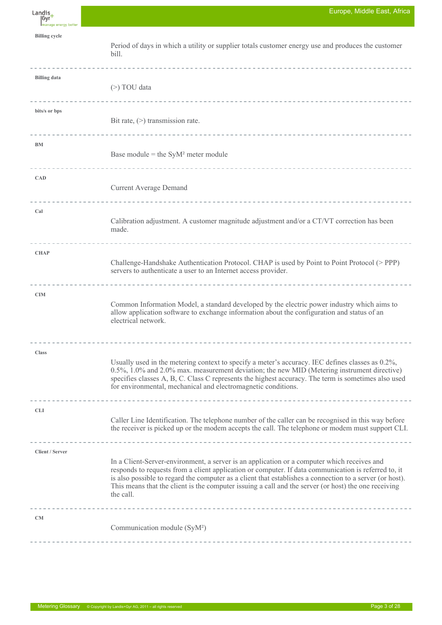| Landis<br> Gyr        | Europe, Middle East, Africa                                                                                                                                                                                                                                                                                                                                                                                                          |
|-----------------------|--------------------------------------------------------------------------------------------------------------------------------------------------------------------------------------------------------------------------------------------------------------------------------------------------------------------------------------------------------------------------------------------------------------------------------------|
| Imanage energy better |                                                                                                                                                                                                                                                                                                                                                                                                                                      |
| <b>Billing cycle</b>  | Period of days in which a utility or supplier totals customer energy use and produces the customer<br>bill.                                                                                                                                                                                                                                                                                                                          |
| <b>Billing data</b>   | $(>)$ TOU data                                                                                                                                                                                                                                                                                                                                                                                                                       |
| bits/s or bps         | Bit rate, $(>)$ transmission rate.                                                                                                                                                                                                                                                                                                                                                                                                   |
| <b>BM</b>             | Base module = the $\text{SyM}^2$ meter module<br>---------------------------------                                                                                                                                                                                                                                                                                                                                                   |
| <b>CAD</b>            | <b>Current Average Demand</b>                                                                                                                                                                                                                                                                                                                                                                                                        |
| Cal                   | Calibration adjustment. A customer magnitude adjustment and/or a CT/VT correction has been<br>made.                                                                                                                                                                                                                                                                                                                                  |
| <b>CHAP</b>           | Challenge-Handshake Authentication Protocol. CHAP is used by Point to Point Protocol (> PPP)<br>servers to authenticate a user to an Internet access provider.                                                                                                                                                                                                                                                                       |
| <b>CIM</b>            | Common Information Model, a standard developed by the electric power industry which aims to<br>allow application software to exchange information about the configuration and status of an<br>electrical network                                                                                                                                                                                                                     |
| <b>Class</b>          | Usually used in the metering context to specify a meter's accuracy. IEC defines classes as 0.2%,<br>0.5%, 1.0% and 2.0% max. measurement deviation; the new MID (Metering instrument directive)<br>specifies classes A, B, C. Class C represents the highest accuracy. The term is sometimes also used<br>for environmental, mechanical and electromagnetic conditions.                                                              |
| <b>CLI</b>            | Caller Line Identification. The telephone number of the caller can be recognised in this way before<br>the receiver is picked up or the modem accepts the call. The telephone or modem must support CLI.                                                                                                                                                                                                                             |
|                       |                                                                                                                                                                                                                                                                                                                                                                                                                                      |
| Client / Server       | In a Client-Server-environment, a server is an application or a computer which receives and<br>responds to requests from a client application or computer. If data communication is referred to, it<br>is also possible to regard the computer as a client that establishes a connection to a server (or host).<br>This means that the client is the computer issuing a call and the server (or host) the one receiving<br>the call. |
| CM                    | Communication module (SyM <sup>2</sup> )                                                                                                                                                                                                                                                                                                                                                                                             |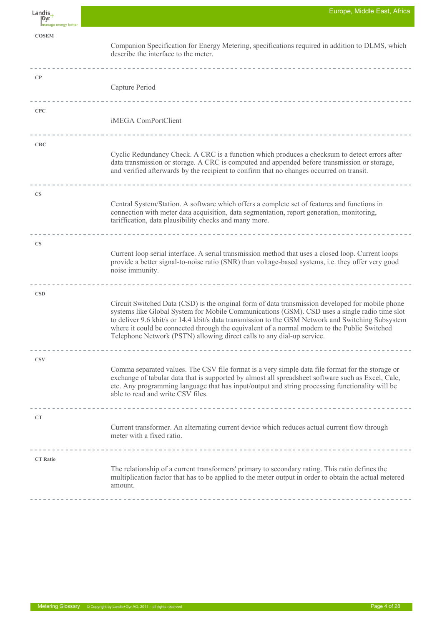| $Langis_+$<br> Gyr <sup>1</sup><br>Imanage energy better | Europe, Middle East, Africa                                                                                                                                                                                                                                                                                                                                                                                                                                                     |
|----------------------------------------------------------|---------------------------------------------------------------------------------------------------------------------------------------------------------------------------------------------------------------------------------------------------------------------------------------------------------------------------------------------------------------------------------------------------------------------------------------------------------------------------------|
| <b>COSEM</b>                                             | Companion Specification for Energy Metering, specifications required in addition to DLMS, which<br>describe the interface to the meter.                                                                                                                                                                                                                                                                                                                                         |
| $\bf CP$                                                 | Capture Period                                                                                                                                                                                                                                                                                                                                                                                                                                                                  |
| CPC                                                      | iMEGA ComPortClient                                                                                                                                                                                                                                                                                                                                                                                                                                                             |
| <b>CRC</b>                                               | Cyclic Redundancy Check. A CRC is a function which produces a checksum to detect errors after<br>data transmission or storage. A CRC is computed and appended before transmission or storage,<br>and verified afterwards by the recipient to confirm that no changes occurred on transit.                                                                                                                                                                                       |
| <b>CS</b>                                                | Central System/Station. A software which offers a complete set of features and functions in<br>connection with meter data acquisition, data segmentation, report generation, monitoring,<br>tariffication, data plausibility checks and many more.                                                                                                                                                                                                                              |
| <b>CS</b>                                                | Current loop serial interface. A serial transmission method that uses a closed loop. Current loops<br>provide a better signal-to-noise ratio (SNR) than voltage-based systems, i.e. they offer very good<br>noise immunity.                                                                                                                                                                                                                                                     |
| <b>CSD</b>                                               | Circuit Switched Data (CSD) is the original form of data transmission developed for mobile phone<br>systems like Global System for Mobile Communications (GSM). CSD uses a single radio time slot<br>to deliver 9.6 kbit/s or 14.4 kbit/s data transmission to the GSM Network and Switching Subsystem<br>where it could be connected through the equivalent of a normal modem to the Public Switched<br>Telephone Network (PSTN) allowing direct calls to any dial-up service. |
| <b>CSV</b>                                               | Comma separated values. The CSV file format is a very simple data file format for the storage or<br>exchange of tabular data that is supported by almost all spreadsheet software such as Excel, Calc,<br>etc. Any programming language that has input/output and string processing functionality will be<br>able to read and write CSV files.                                                                                                                                  |
| CT                                                       | Current transformer. An alternating current device which reduces actual current flow through<br>meter with a fixed ratio.                                                                                                                                                                                                                                                                                                                                                       |
| <b>CT Ratio</b>                                          | The relationship of a current transformers' primary to secondary rating. This ratio defines the<br>multiplication factor that has to be applied to the meter output in order to obtain the actual metered<br>amount.                                                                                                                                                                                                                                                            |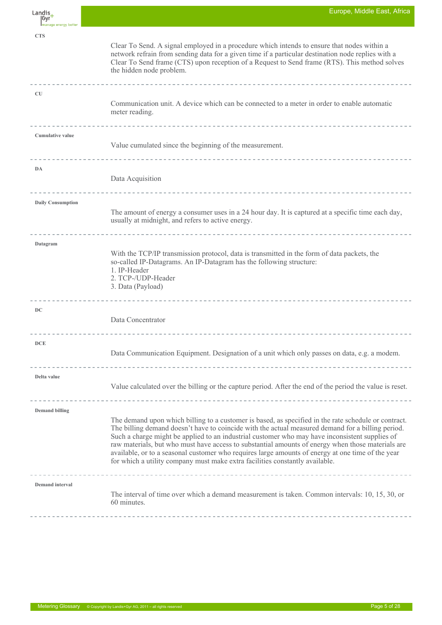| Landis<br> Gyr<br>Imanage energy better | Europe, Middle East, Africa                                                                                                                                                                                                                                                                                                                                                                                                                                                                                                                                                                           |
|-----------------------------------------|-------------------------------------------------------------------------------------------------------------------------------------------------------------------------------------------------------------------------------------------------------------------------------------------------------------------------------------------------------------------------------------------------------------------------------------------------------------------------------------------------------------------------------------------------------------------------------------------------------|
| <b>CTS</b>                              | Clear To Send. A signal employed in a procedure which intends to ensure that nodes within a<br>network refrain from sending data for a given time if a particular destination node replies with a<br>Clear To Send frame (CTS) upon reception of a Request to Send frame (RTS). This method solves<br>the hidden node problem.                                                                                                                                                                                                                                                                        |
| <b>CU</b>                               | Communication unit. A device which can be connected to a meter in order to enable automatic<br>meter reading.                                                                                                                                                                                                                                                                                                                                                                                                                                                                                         |
| <b>Cumulative value</b>                 | Value cumulated since the beginning of the measurement.                                                                                                                                                                                                                                                                                                                                                                                                                                                                                                                                               |
| DA                                      | Data Acquisition                                                                                                                                                                                                                                                                                                                                                                                                                                                                                                                                                                                      |
| <b>Daily Consumption</b>                | The amount of energy a consumer uses in a 24 hour day. It is captured at a specific time each day,<br>usually at midnight, and refers to active energy.<br>-----------------------------                                                                                                                                                                                                                                                                                                                                                                                                              |
| Datagram                                | With the TCP/IP transmission protocol, data is transmitted in the form of data packets, the<br>so-called IP-Datagrams. An IP-Datagram has the following structure:<br>1. IP-Header<br>2. TCP-/UDP-Header<br>3. Data (Payload)                                                                                                                                                                                                                                                                                                                                                                         |
| DC                                      | Data Concentrator                                                                                                                                                                                                                                                                                                                                                                                                                                                                                                                                                                                     |
| DCE                                     | --------------------------------------<br>Data Communication Equipment. Designation of a unit which only passes on data, e.g. a modem.                                                                                                                                                                                                                                                                                                                                                                                                                                                                |
| Delta value                             | Value calculated over the billing or the capture period. After the end of the period the value is reset.                                                                                                                                                                                                                                                                                                                                                                                                                                                                                              |
| <b>Demand billing</b>                   | The demand upon which billing to a customer is based, as specified in the rate schedule or contract.<br>The billing demand doesn't have to coincide with the actual measured demand for a billing period.<br>Such a charge might be applied to an industrial customer who may have inconsistent supplies of<br>raw materials, but who must have access to substantial amounts of energy when those materials are<br>available, or to a seasonal customer who requires large amounts of energy at one time of the year<br>for which a utility company must make extra facilities constantly available. |
| <b>Demand</b> interval                  | The interval of time over which a demand measurement is taken. Common intervals: 10, 15, 30, or<br>60 minutes.                                                                                                                                                                                                                                                                                                                                                                                                                                                                                        |

F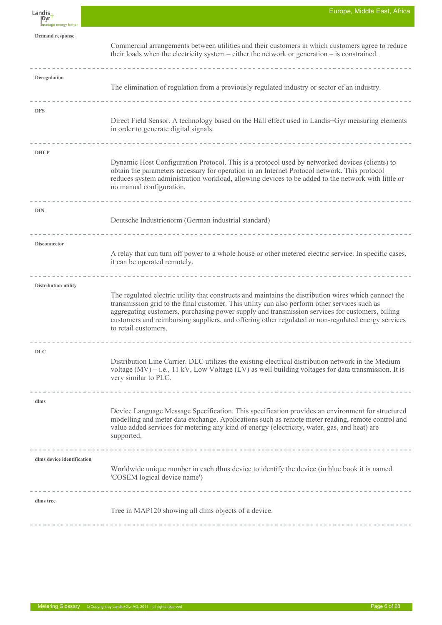| Landis,<br> Gyr<br>Imanage energy better | Europe, Middle East, Africa                                                                                                                                                                                                                                                                                                                                                                                                             |
|------------------------------------------|-----------------------------------------------------------------------------------------------------------------------------------------------------------------------------------------------------------------------------------------------------------------------------------------------------------------------------------------------------------------------------------------------------------------------------------------|
| <b>Demand response</b>                   | Commercial arrangements between utilities and their customers in which customers agree to reduce<br>their loads when the electricity system – either the network or generation – is constrained.                                                                                                                                                                                                                                        |
| Deregulation                             | The elimination of regulation from a previously regulated industry or sector of an industry.                                                                                                                                                                                                                                                                                                                                            |
| <b>DFS</b>                               | Direct Field Sensor. A technology based on the Hall effect used in Landis+Gyr measuring elements<br>in order to generate digital signals.<br>------------------------------------                                                                                                                                                                                                                                                       |
| <b>DHCP</b>                              | Dynamic Host Configuration Protocol. This is a protocol used by networked devices (clients) to<br>obtain the parameters necessary for operation in an Internet Protocol network. This protocol<br>reduces system administration workload, allowing devices to be added to the network with little or<br>no manual configuration.                                                                                                        |
| <b>DIN</b>                               | Deutsche Industrienorm (German industrial standard)                                                                                                                                                                                                                                                                                                                                                                                     |
| Disconnector                             | A relay that can turn off power to a whole house or other metered electric service. In specific cases,<br>it can be operated remotely.                                                                                                                                                                                                                                                                                                  |
| Distribution utility                     | The regulated electric utility that constructs and maintains the distribution wires which connect the<br>transmission grid to the final customer. This utility can also perform other services such as<br>aggregating customers, purchasing power supply and transmission services for customers, billing<br>customers and reimbursing suppliers, and offering other regulated or non-regulated energy services<br>to retail customers. |
| <b>DLC</b>                               | Distribution Line Carrier. DLC utilizes the existing electrical distribution network in the Medium<br>voltage (MV) – i.e., 11 kV, Low Voltage (LV) as well building voltages for data transmission. It is<br>very similar to PLC.                                                                                                                                                                                                       |
| dlms                                     | Device Language Message Specification. This specification provides an environment for structured<br>modelling and meter data exchange. Applications such as remote meter reading, remote control and<br>value added services for metering any kind of energy (electricity, water, gas, and heat) are<br>supported.                                                                                                                      |
| dlms device identification               | Worldwide unique number in each dlms device to identify the device (in blue book it is named<br>'COSEM logical device name')                                                                                                                                                                                                                                                                                                            |
| dlms tree                                | Tree in MAP120 showing all dlms objects of a device.                                                                                                                                                                                                                                                                                                                                                                                    |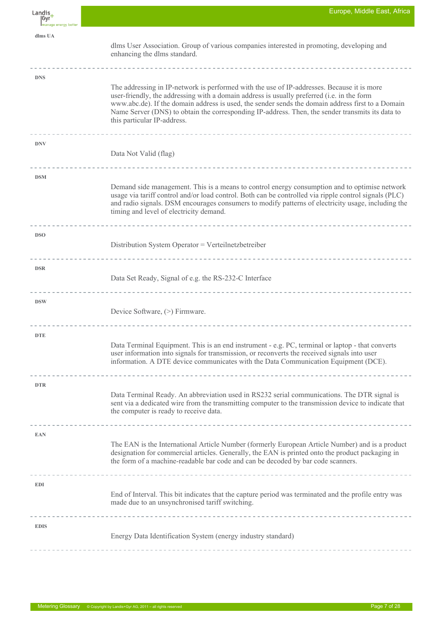| Landis<br>  Gyr       | Europe, Middle East, Africa                                                                                                                                                                                                                                                                                                                                                                                                      |
|-----------------------|----------------------------------------------------------------------------------------------------------------------------------------------------------------------------------------------------------------------------------------------------------------------------------------------------------------------------------------------------------------------------------------------------------------------------------|
| Imanage energy better |                                                                                                                                                                                                                                                                                                                                                                                                                                  |
| dlms UA               | dlms User Association. Group of various companies interested in promoting, developing and<br>enhancing the dlms standard.                                                                                                                                                                                                                                                                                                        |
| <b>DNS</b>            | The addressing in IP-network is performed with the use of IP-addresses. Because it is more<br>user-friendly, the addressing with a domain address is usually preferred (i.e. in the form<br>www.abc.de). If the domain address is used, the sender sends the domain address first to a Domain<br>Name Server (DNS) to obtain the corresponding IP-address. Then, the sender transmits its data to<br>this particular IP-address. |
| <b>DNV</b>            | Data Not Valid (flag)                                                                                                                                                                                                                                                                                                                                                                                                            |
| <b>DSM</b>            | Demand side management. This is a means to control energy consumption and to optimise network<br>usage via tariff control and/or load control. Both can be controlled via ripple control signals (PLC)<br>and radio signals. DSM encourages consumers to modify patterns of electricity usage, including the<br>timing and level of electricity demand.<br>------------------------------------                                  |
| <b>DSO</b>            | Distribution System Operator = Verteilnetzbetreiber                                                                                                                                                                                                                                                                                                                                                                              |
| <b>DSR</b>            | Data Set Ready, Signal of e.g. the RS-232-C Interface                                                                                                                                                                                                                                                                                                                                                                            |
| <b>DSW</b>            | Device Software, (>) Firmware.                                                                                                                                                                                                                                                                                                                                                                                                   |
| <b>DTE</b>            | Data Terminal Equipment. This is an end instrument - e.g. PC, terminal or laptop - that converts<br>user information into signals for transmission, or reconverts the received signals into user<br>information. A DTE device communicates with the Data Communication Equipment (DCE).                                                                                                                                          |
| <b>DTR</b>            | Data Terminal Ready. An abbreviation used in RS232 serial communications. The DTR signal is<br>sent via a dedicated wire from the transmitting computer to the transmission device to indicate that<br>the computer is ready to receive data.                                                                                                                                                                                    |
| <b>EAN</b>            | The EAN is the International Article Number (formerly European Article Number) and is a product<br>designation for commercial articles. Generally, the EAN is printed onto the product packaging in<br>the form of a machine-readable bar code and can be decoded by bar code scanners.                                                                                                                                          |
| <b>EDI</b>            | End of Interval. This bit indicates that the capture period was terminated and the profile entry was<br>made due to an unsynchronised tariff switching.                                                                                                                                                                                                                                                                          |
| <b>EDIS</b>           | Energy Data Identification System (energy industry standard)                                                                                                                                                                                                                                                                                                                                                                     |

É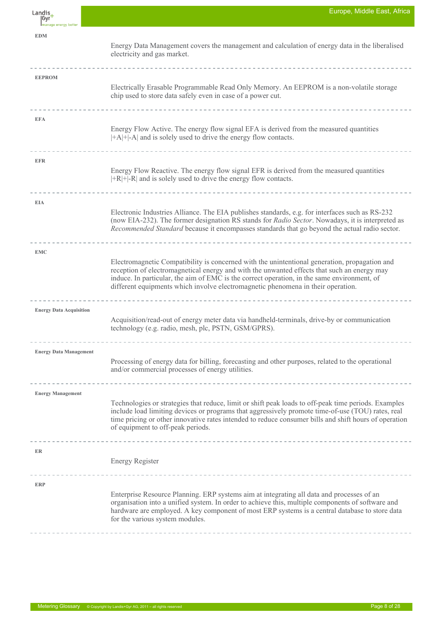| Landis_<br> Gyr<br>Imanage energy better | Europe, Middle East, Africa                                                                                                                                                                                                                                                                                                                                                     |
|------------------------------------------|---------------------------------------------------------------------------------------------------------------------------------------------------------------------------------------------------------------------------------------------------------------------------------------------------------------------------------------------------------------------------------|
| <b>EDM</b>                               | Energy Data Management covers the management and calculation of energy data in the liberalised<br>electricity and gas market.                                                                                                                                                                                                                                                   |
| <b>EEPROM</b>                            | Electrically Erasable Programmable Read Only Memory. An EEPROM is a non-volatile storage<br>chip used to store data safely even in case of a power cut.                                                                                                                                                                                                                         |
| <b>EFA</b>                               | Energy Flow Active. The energy flow signal EFA is derived from the measured quantities<br>$ +A + -A $ and is solely used to drive the energy flow contacts.                                                                                                                                                                                                                     |
| <b>EFR</b>                               | Energy Flow Reactive. The energy flow signal EFR is derived from the measured quantities<br>$ +R $ +  -R  and is solely used to drive the energy flow contacts.                                                                                                                                                                                                                 |
| <b>EIA</b>                               | Electronic Industries Alliance. The EIA publishes standards, e.g. for interfaces such as RS-232<br>(now EIA-232). The former designation RS stands for Radio Sector. Nowadays, it is interpreted as<br>Recommended Standard because it encompasses standards that go beyond the actual radio sector.                                                                            |
| <b>EMC</b>                               | Electromagnetic Compatibility is concerned with the unintentional generation, propagation and<br>reception of electromagnetical energy and with the unwanted effects that such an energy may<br>induce. In particular, the aim of EMC is the correct operation, in the same environment, of<br>different equipments which involve electromagnetic phenomena in their operation. |
| <b>Energy Data Acquisition</b>           | Acquisition/read-out of energy meter data via handheld-terminals, drive-by or communication<br>technology (e.g. radio, mesh, plc, PSTN, GSM/GPRS).                                                                                                                                                                                                                              |
| <b>Energy Data Management</b>            | Processing of energy data for billing, forecasting and other purposes, related to the operational<br>and/or commercial processes of energy utilities.                                                                                                                                                                                                                           |
| <b>Energy Management</b>                 | Technologies or strategies that reduce, limit or shift peak loads to off-peak time periods. Examples<br>include load limiting devices or programs that aggressively promote time-of-use (TOU) rates, real<br>time pricing or other innovative rates intended to reduce consumer bills and shift hours of operation<br>of equipment to off-peak periods.                         |
| ER                                       | Energy Register                                                                                                                                                                                                                                                                                                                                                                 |
| <b>ERP</b>                               | Enterprise Resource Planning. ERP systems aim at integrating all data and processes of an<br>organisation into a unified system. In order to achieve this, multiple components of software and<br>hardware are employed. A key component of most ERP systems is a central database to store data<br>for the various system modules.                                             |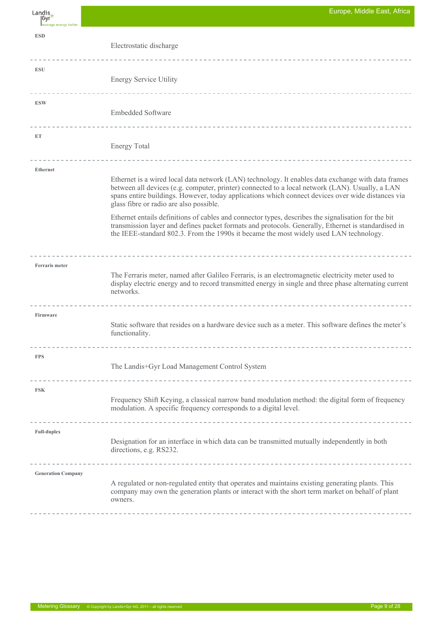Landis $+$ |Gyr **ESD** Electrostatic discharge  $\frac{1}{2}$ **ESU** Energy Service Utility <u>. . . . . . . . . . . . . . . .</u> **ESW** Embedded Software <u>. . . . . . . . . . . . . . . .</u> **ET** Energy Total ------------**Ethernet** Ethernet is a wired local data network (LAN) technology. It enables data exchange with data frames between all devices (e.g. computer, printer) connected to a local network (LAN). Usually, a LAN spans entire buildings. However, today applications which connect devices over wide distances via glass fibre or radio are also possible. Ethernet entails definitions of cables and connector types, describes the signalisation for the bit transmission layer and defines packet formats and protocols. Generally, Ethernet is standardised in the IEEE-standard 802.3. From the 1990s it became the most widely used LAN technology. **Ferraris meter** The Ferraris meter, named after Galileo Ferraris, is an electromagnetic electricity meter used to display electric energy and to record transmitted energy in single and three phase alternating current networks.  $- - - - -$ **Firmware** Static software that resides on a hardware device such as a meter. This software defines the meter's functionality. \_\_\_\_\_\_\_\_\_\_\_\_\_\_\_\_\_\_\_\_\_\_\_\_\_\_\_\_\_\_\_\_\_\_\_ **FPS** The Landis+Gyr Load Management Control System --------------**FSK** Frequency Shift Keying, a classical narrow band modulation method: the digital form of frequency modulation. A specific frequency corresponds to a digital level. **Full-duplex** Designation for an interface in which data can be transmitted mutually independently in both directions, e.g. RS232. **Generation Company** A regulated or non-regulated entity that operates and maintains existing generating plants. This company may own the generation plants or interact with the short term market on behalf of plant owners.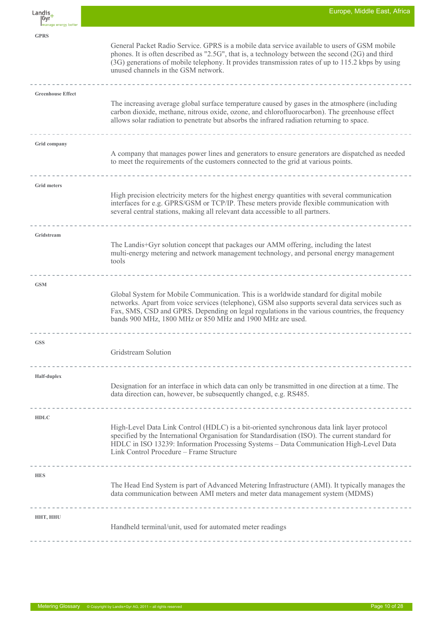| Landis,<br> Gyr<br>manage energy better | Europe, Middle East, Africa                                                                                                                                                                                                                                                                                                                                              |
|-----------------------------------------|--------------------------------------------------------------------------------------------------------------------------------------------------------------------------------------------------------------------------------------------------------------------------------------------------------------------------------------------------------------------------|
| <b>GPRS</b>                             | General Packet Radio Service. GPRS is a mobile data service available to users of GSM mobile<br>phones. It is often described as "2.5G", that is, a technology between the second (2G) and third<br>(3G) generations of mobile telephony. It provides transmission rates of up to 115.2 kbps by using<br>unused channels in the GSM network.                             |
| <b>Greenhouse Effect</b>                | The increasing average global surface temperature caused by gases in the atmosphere (including<br>carbon dioxide, methane, nitrous oxide, ozone, and chlorofluorocarbon). The greenhouse effect<br>allows solar radiation to penetrate but absorbs the infrared radiation returning to space.                                                                            |
| Grid company                            | A company that manages power lines and generators to ensure generators are dispatched as needed<br>to meet the requirements of the customers connected to the grid at various points.                                                                                                                                                                                    |
| <b>Grid meters</b>                      | High precision electricity meters for the highest energy quantities with several communication<br>interfaces for e.g. GPRS/GSM or TCP/IP. These meters provide flexible communication with<br>several central stations, making all relevant data accessible to all partners.                                                                                             |
| Gridstream                              | The Landis+Gyr solution concept that packages our AMM offering, including the latest<br>multi-energy metering and network management technology, and personal energy management<br>tools                                                                                                                                                                                 |
| <b>GSM</b>                              | Global System for Mobile Communication. This is a worldwide standard for digital mobile<br>networks. Apart from voice services (telephone), GSM also supports several data services such as<br>Fax, SMS, CSD and GPRS. Depending on legal regulations in the various countries, the frequency<br>bands 900 MHz, 1800 MHz or 850 MHz and 1900 MHz are used.               |
| <b>GSS</b>                              | Gridstream Solution                                                                                                                                                                                                                                                                                                                                                      |
| Half-duplex                             | Designation for an interface in which data can only be transmitted in one direction at a time. The<br>data direction can, however, be subsequently changed, e.g. RS485.                                                                                                                                                                                                  |
| <b>HDLC</b>                             | High-Level Data Link Control (HDLC) is a bit-oriented synchronous data link layer protocol<br>specified by the International Organisation for Standardisation (ISO). The current standard for<br>HDLC in ISO 13239: Information Processing Systems - Data Communication High-Level Data<br>Link Control Procedure - Frame Structure<br>--------------------------------- |
| <b>HES</b>                              | The Head End System is part of Advanced Metering Infrastructure (AMI). It typically manages the<br>data communication between AMI meters and meter data management system (MDMS)<br>__________________________________                                                                                                                                                   |
| HHT, HHU                                | Handheld terminal/unit, used for automated meter readings                                                                                                                                                                                                                                                                                                                |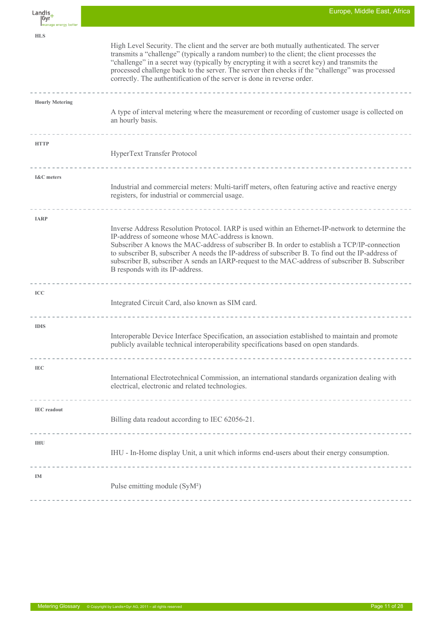| Landis,<br> Gyr<br>Imanage energy better | Europe, Middle East, Africa                                                                                                                                                                                                                                                                                                                                                                                                                                                                       |
|------------------------------------------|---------------------------------------------------------------------------------------------------------------------------------------------------------------------------------------------------------------------------------------------------------------------------------------------------------------------------------------------------------------------------------------------------------------------------------------------------------------------------------------------------|
| <b>HLS</b>                               | High Level Security. The client and the server are both mutually authenticated. The server<br>transmits a "challenge" (typically a random number) to the client; the client processes the<br>"challenge" in a secret way (typically by encrypting it with a secret key) and transmits the<br>processed challenge back to the server. The server then checks if the "challenge" was processed<br>correctly. The authentification of the server is done in reverse order.                           |
| <b>Hourly Metering</b>                   | A type of interval metering where the measurement or recording of customer usage is collected on<br>an hourly basis.                                                                                                                                                                                                                                                                                                                                                                              |
| <b>HTTP</b>                              | HyperText Transfer Protocol                                                                                                                                                                                                                                                                                                                                                                                                                                                                       |
| <b>I&amp;C</b> meters                    | Industrial and commercial meters: Multi-tariff meters, often featuring active and reactive energy<br>registers, for industrial or commercial usage.                                                                                                                                                                                                                                                                                                                                               |
| <b>IARP</b>                              | Inverse Address Resolution Protocol. IARP is used within an Ethernet-IP-network to determine the<br>IP-address of someone whose MAC-address is known.<br>Subscriber A knows the MAC-address of subscriber B. In order to establish a TCP/IP-connection<br>to subscriber B, subscriber A needs the IP-address of subscriber B. To find out the IP-address of<br>subscriber B, subscriber A sends an IARP-request to the MAC-address of subscriber B. Subscriber<br>B responds with its IP-address. |
| <b>ICC</b>                               | Integrated Circuit Card, also known as SIM card.<br>--------------------------------                                                                                                                                                                                                                                                                                                                                                                                                              |
| <b>IDIS</b>                              | Interoperable Device Interface Specification, an association established to maintain and promote<br>publicly available technical interoperability specifications based on open standards.                                                                                                                                                                                                                                                                                                         |
| <b>IEC</b>                               | International Electrotechnical Commission, an international standards organization dealing with<br>electrical, electronic and related technologies.                                                                                                                                                                                                                                                                                                                                               |
| <b>IEC</b> readout                       | Billing data readout according to IEC 62056-21.                                                                                                                                                                                                                                                                                                                                                                                                                                                   |
| <b>IHU</b>                               | IHU - In-Home display Unit, a unit which informs end-users about their energy consumption.                                                                                                                                                                                                                                                                                                                                                                                                        |
| IM                                       | Pulse emitting module (SyM <sup>2</sup> )                                                                                                                                                                                                                                                                                                                                                                                                                                                         |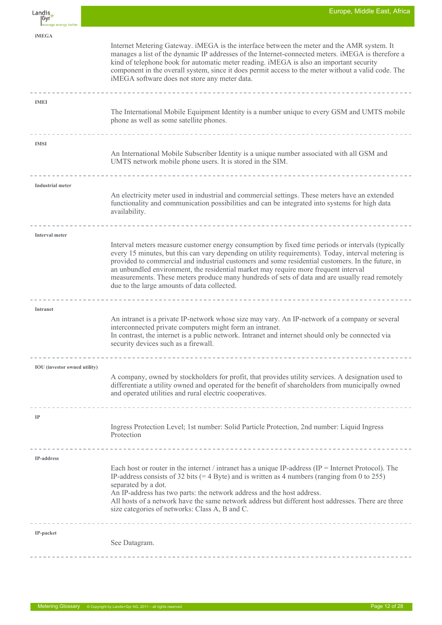| Landis,<br> Gyr<br>Imanage energy better | Europe, Middle East, Africa                                                                                                                                                                                                                                                                                                                                                                                                                                                                                                                                                      |
|------------------------------------------|----------------------------------------------------------------------------------------------------------------------------------------------------------------------------------------------------------------------------------------------------------------------------------------------------------------------------------------------------------------------------------------------------------------------------------------------------------------------------------------------------------------------------------------------------------------------------------|
| <b>iMEGA</b>                             | Internet Metering Gateway. iMEGA is the interface between the meter and the AMR system. It<br>manages a list of the dynamic IP addresses of the Internet-connected meters. iMEGA is therefore a<br>kind of telephone book for automatic meter reading. iMEGA is also an important security<br>component in the overall system, since it does permit access to the meter without a valid code. The<br>iMEGA software does not store any meter data.                                                                                                                               |
| <b>IMEI</b>                              | The International Mobile Equipment Identity is a number unique to every GSM and UMTS mobile<br>phone as well as some satellite phones.                                                                                                                                                                                                                                                                                                                                                                                                                                           |
| <b>IMSI</b>                              | An International Mobile Subscriber Identity is a unique number associated with all GSM and<br>UMTS network mobile phone users. It is stored in the SIM.                                                                                                                                                                                                                                                                                                                                                                                                                          |
| <b>Industrial meter</b>                  | An electricity meter used in industrial and commercial settings. These meters have an extended<br>functionality and communication possibilities and can be integrated into systems for high data<br>availability.                                                                                                                                                                                                                                                                                                                                                                |
| Interval meter                           | Interval meters measure customer energy consumption by fixed time periods or intervals (typically<br>every 15 minutes, but this can vary depending on utility requirements). Today, interval metering is<br>provided to commercial and industrial customers and some residential customers. In the future, in<br>an unbundled environment, the residential market may require more frequent interval<br>measurements. These meters produce many hundreds of sets of data and are usually read remotely<br>due to the large amounts of data collected.<br>_______________________ |
| Intranet                                 | An intranet is a private IP-network whose size may vary. An IP-network of a company or several<br>interconnected private computers might form an intranet.<br>In contrast, the internet is a public network. Intranet and internet should only be connected via<br>security devices such as a firewall.                                                                                                                                                                                                                                                                          |
| <b>IOU</b> (investor owned utility)      | A company, owned by stockholders for profit, that provides utility services. A designation used to<br>differentiate a utility owned and operated for the benefit of shareholders from municipally owned<br>and operated utilities and rural electric cooperatives.                                                                                                                                                                                                                                                                                                               |
| $_{\rm IP}$                              | Ingress Protection Level; 1st number: Solid Particle Protection, 2nd number: Liquid Ingress<br>Protection                                                                                                                                                                                                                                                                                                                                                                                                                                                                        |
| IP-address                               | Each host or router in the internet / intranet has a unique IP-address (IP = Internet Protocol). The<br>IP-address consists of 32 bits $(= 4 \text{ Byte})$ and is written as 4 numbers (ranging from 0 to 255)<br>separated by a dot.<br>An IP-address has two parts: the network address and the host address.<br>All hosts of a network have the same network address but different host addresses. There are three<br>size categories of networks: Class A, B and C.                                                                                                         |
| IP-packet                                | See Datagram.                                                                                                                                                                                                                                                                                                                                                                                                                                                                                                                                                                    |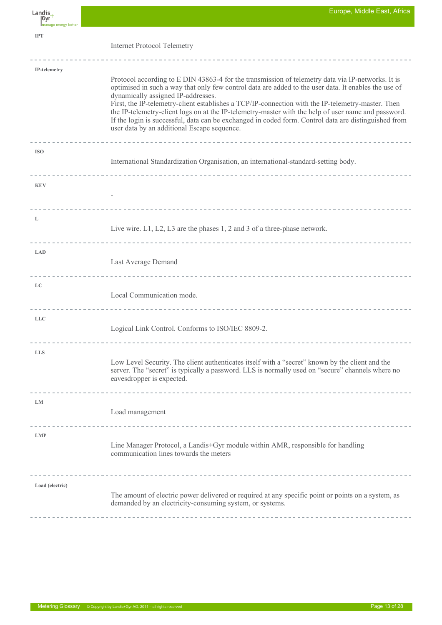| Landis_<br> Gyr<br>Imanage energy better | Europe, Middle East, Africa                                                                                                                                                                                                                                                                                                                                                                                                                                                                                                                                                                                        |
|------------------------------------------|--------------------------------------------------------------------------------------------------------------------------------------------------------------------------------------------------------------------------------------------------------------------------------------------------------------------------------------------------------------------------------------------------------------------------------------------------------------------------------------------------------------------------------------------------------------------------------------------------------------------|
| <b>IPT</b>                               | <b>Internet Protocol Telemetry</b><br>------------------------------                                                                                                                                                                                                                                                                                                                                                                                                                                                                                                                                               |
| IP-telemetry                             | Protocol according to E DIN 43863-4 for the transmission of telemetry data via IP-networks. It is<br>optimised in such a way that only few control data are added to the user data. It enables the use of<br>dynamically assigned IP-addresses.<br>First, the IP-telemetry-client establishes a TCP/IP-connection with the IP-telemetry-master. Then<br>the IP-telemetry-client logs on at the IP-telemetry-master with the help of user name and password.<br>If the login is successful, data can be exchanged in coded form. Control data are distinguished from<br>user data by an additional Escape sequence. |
| <b>ISO</b>                               | International Standardization Organisation, an international-standard-setting body.                                                                                                                                                                                                                                                                                                                                                                                                                                                                                                                                |
| <b>KEV</b>                               |                                                                                                                                                                                                                                                                                                                                                                                                                                                                                                                                                                                                                    |
| L                                        | Live wire. L1, L2, L3 are the phases 1, 2 and 3 of a three-phase network.                                                                                                                                                                                                                                                                                                                                                                                                                                                                                                                                          |
| <b>LAD</b>                               | Last Average Demand                                                                                                                                                                                                                                                                                                                                                                                                                                                                                                                                                                                                |
| LC                                       | Local Communication mode.<br>______________________________                                                                                                                                                                                                                                                                                                                                                                                                                                                                                                                                                        |
| <b>LLC</b>                               | Logical Link Control. Conforms to ISO/IEC 8809-2.                                                                                                                                                                                                                                                                                                                                                                                                                                                                                                                                                                  |
| <b>LLS</b>                               | Low Level Security. The client authenticates itself with a "secret" known by the client and the<br>server. The "secret" is typically a password. LLS is normally used on "secure" channels where no<br>eavesdropper is expected.                                                                                                                                                                                                                                                                                                                                                                                   |
| LM                                       | Load management                                                                                                                                                                                                                                                                                                                                                                                                                                                                                                                                                                                                    |
| <b>LMP</b>                               | Line Manager Protocol, a Landis+Gyr module within AMR, responsible for handling<br>communication lines towards the meters                                                                                                                                                                                                                                                                                                                                                                                                                                                                                          |
| Load (electric)                          | The amount of electric power delivered or required at any specific point or points on a system, as<br>demanded by an electricity-consuming system, or systems.                                                                                                                                                                                                                                                                                                                                                                                                                                                     |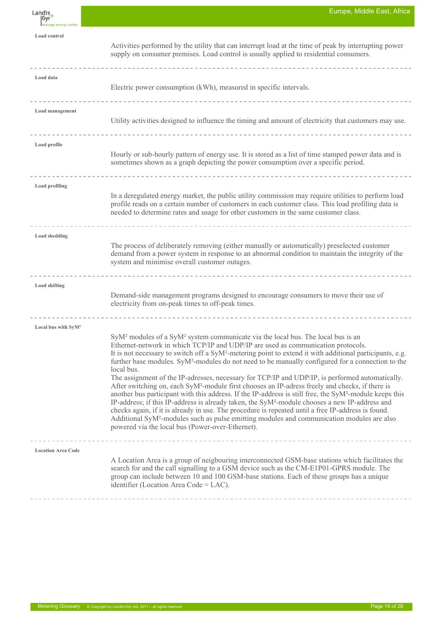| Landis,<br> Gyr'<br>Imanage energy better | Europe, Middle East, Africa                                                                                                                                                                                                                                                                                                                                                                                                                                                                                                                                                                                                                                                                                                                                                                                                                                                                                                                                                                                                                                                                                                                                                  |
|-------------------------------------------|------------------------------------------------------------------------------------------------------------------------------------------------------------------------------------------------------------------------------------------------------------------------------------------------------------------------------------------------------------------------------------------------------------------------------------------------------------------------------------------------------------------------------------------------------------------------------------------------------------------------------------------------------------------------------------------------------------------------------------------------------------------------------------------------------------------------------------------------------------------------------------------------------------------------------------------------------------------------------------------------------------------------------------------------------------------------------------------------------------------------------------------------------------------------------|
| Load control                              | Activities performed by the utility that can interrupt load at the time of peak by interrupting power<br>supply on consumer premises. Load control is usually applied to residential consumers.                                                                                                                                                                                                                                                                                                                                                                                                                                                                                                                                                                                                                                                                                                                                                                                                                                                                                                                                                                              |
| Load data                                 | Electric power consumption (kWh), measured in specific intervals.                                                                                                                                                                                                                                                                                                                                                                                                                                                                                                                                                                                                                                                                                                                                                                                                                                                                                                                                                                                                                                                                                                            |
| Load management                           | Utility activities designed to influence the timing and amount of electricity that customers may use.                                                                                                                                                                                                                                                                                                                                                                                                                                                                                                                                                                                                                                                                                                                                                                                                                                                                                                                                                                                                                                                                        |
| Load profile                              | Hourly or sub-hourly pattern of energy use. It is stored as a list of time stamped power data and is<br>sometimes shown as a graph depicting the power consumption over a specific period.                                                                                                                                                                                                                                                                                                                                                                                                                                                                                                                                                                                                                                                                                                                                                                                                                                                                                                                                                                                   |
| <b>Load profiling</b>                     | In a deregulated energy market, the public utility commission may require utilities to perform load<br>profile reads on a certain number of customers in each customer class. This load profiling data is<br>needed to determine rates and usage for other customers in the same customer class.                                                                                                                                                                                                                                                                                                                                                                                                                                                                                                                                                                                                                                                                                                                                                                                                                                                                             |
| <b>Load shedding</b>                      | The process of deliberately removing (either manually or automatically) preselected customer<br>demand from a power system in response to an abnormal condition to maintain the integrity of the<br>system and minimise overall customer outages.                                                                                                                                                                                                                                                                                                                                                                                                                                                                                                                                                                                                                                                                                                                                                                                                                                                                                                                            |
| <b>Load shifting</b>                      | ------------------------------------<br>Demand-side management programs designed to encourage consumers to move their use of<br>electricity from on-peak times to off-peak times.                                                                                                                                                                                                                                                                                                                                                                                                                                                                                                                                                                                                                                                                                                                                                                                                                                                                                                                                                                                            |
| Local bus with SyM <sup>2</sup>           | SyM <sup>2</sup> modules of a SyM <sup>2</sup> system communicate via the local bus. The local bus is an<br>Ethernet-network in which TCP/IP and UDP/IP are used as communication protocols.<br>It is not necessary to switch off a SyM <sup>2</sup> -metering point to extend it with additional participants, e.g.<br>further base modules. SyM <sup>2</sup> -modules do not need to be manually configured for a connection to the<br>local bus.<br>The assignment of the IP-adresses, necessary for TCP/IP and UDP/IP, is performed automatically.<br>After switching on, each SyM <sup>2</sup> -module first chooses an IP-adress freely and checks, if there is<br>another bus participant with this address. If the IP-address is still free, the SyM <sup>2</sup> -module keeps this<br>IP-address; if this IP-address is already taken, the $\text{SyM}^2$ -module chooses a new IP-address and<br>checks again, if it is already in use. The procedure is repeated until a free IP-address is found.<br>Additional SyM <sup>2</sup> -modules such as pulse emitting modules and communication modules are also<br>powered via the local bus (Power-over-Ethernet). |
| <b>Location Area Code</b>                 | A Location Area is a group of neigbouring interconnected GSM-base stations which facilitates the<br>search for and the call signalling to a GSM device such as the CM-E1P01-GPRS module. The<br>group can include between 10 and 100 GSM-base stations. Each of these groups has a unique<br>identifier (Location Area Code = $LAC$ ).                                                                                                                                                                                                                                                                                                                                                                                                                                                                                                                                                                                                                                                                                                                                                                                                                                       |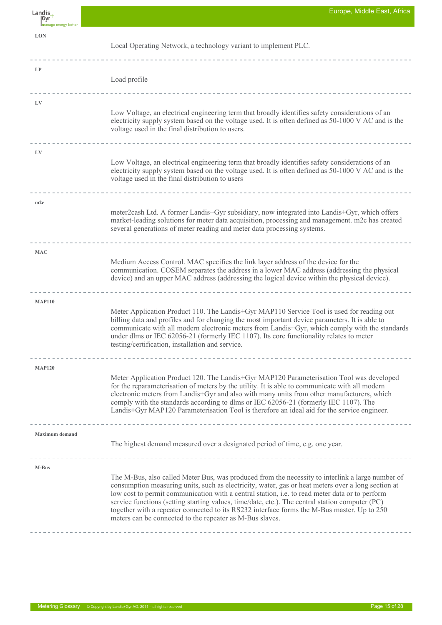| Landis,<br> Gyr<br>Imanage energy better | Europe, Middle East, Africa                                                                                                                                                                                                                                                                                                                                                                                                                                                                                                                                            |
|------------------------------------------|------------------------------------------------------------------------------------------------------------------------------------------------------------------------------------------------------------------------------------------------------------------------------------------------------------------------------------------------------------------------------------------------------------------------------------------------------------------------------------------------------------------------------------------------------------------------|
| <b>LON</b>                               | Local Operating Network, a technology variant to implement PLC.                                                                                                                                                                                                                                                                                                                                                                                                                                                                                                        |
| LP                                       | Load profile                                                                                                                                                                                                                                                                                                                                                                                                                                                                                                                                                           |
| LV                                       | Low Voltage, an electrical engineering term that broadly identifies safety considerations of an<br>electricity supply system based on the voltage used. It is often defined as 50-1000 V AC and is the<br>voltage used in the final distribution to users.<br>----------------------------------                                                                                                                                                                                                                                                                       |
| LV                                       | Low Voltage, an electrical engineering term that broadly identifies safety considerations of an<br>electricity supply system based on the voltage used. It is often defined as 50-1000 V AC and is the<br>voltage used in the final distribution to users                                                                                                                                                                                                                                                                                                              |
| m2c                                      | meter2cash Ltd. A former Landis+Gyr subsidiary, now integrated into Landis+Gyr, which offers<br>market-leading solutions for meter data acquisition, processing and management. m2c has created<br>several generations of meter reading and meter data processing systems.                                                                                                                                                                                                                                                                                             |
| <b>MAC</b>                               | Medium Access Control. MAC specifies the link layer address of the device for the<br>communication. COSEM separates the address in a lower MAC address (addressing the physical<br>device) and an upper MAC address (addressing the logical device within the physical device).                                                                                                                                                                                                                                                                                        |
| <b>MAP110</b>                            | Meter Application Product 110. The Landis+Gyr MAP110 Service Tool is used for reading out<br>billing data and profiles and for changing the most important device parameters. It is able to<br>communicate with all modern electronic meters from Landis+Gyr, which comply with the standards<br>under dlms or IEC 62056-21 (formerly IEC 1107). Its core functionality relates to meter<br>testing/certification, installation and service.                                                                                                                           |
|                                          |                                                                                                                                                                                                                                                                                                                                                                                                                                                                                                                                                                        |
| <b>MAP120</b>                            | Meter Application Product 120. The Landis+Gyr MAP120 Parameterisation Tool was developed<br>for the reparameterisation of meters by the utility. It is able to communicate with all modern<br>electronic meters from Landis+Gyr and also with many units from other manufacturers, which<br>comply with the standards according to dlms or IEC 62056-21 (formerly IEC 1107). The<br>Landis+Gyr MAP120 Parameterisation Tool is therefore an ideal aid for the service engineer.                                                                                        |
|                                          |                                                                                                                                                                                                                                                                                                                                                                                                                                                                                                                                                                        |
| <b>Maximum</b> demand                    | The highest demand measured over a designated period of time, e.g. one year.                                                                                                                                                                                                                                                                                                                                                                                                                                                                                           |
| M-Bus                                    | The M-Bus, also called Meter Bus, was produced from the necessity to interlink a large number of<br>consumption measuring units, such as electricity, water, gas or heat meters over a long section at<br>low cost to permit communication with a central station, i.e. to read meter data or to perform<br>service functions (setting starting values, time/date, etc.). The central station computer (PC)<br>together with a repeater connected to its RS232 interface forms the M-Bus master. Up to 250<br>meters can be connected to the repeater as M-Bus slaves. |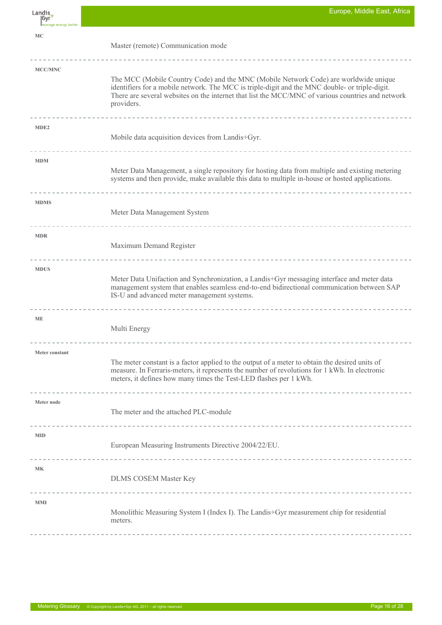$L$ andis $+$ |Gyr **MC** Master (remote) Communication mode **MCC/MNC** The MCC (Mobile Country Code) and the MNC (Mobile Network Code) are worldwide unique identifiers for a mobile network. The MCC is triple-digit and the MNC double- or triple-digit. There are several websites on the internet that list the MCC/MNC of various countries and network providers. **MDE2** Mobile data acquisition devices from Landis+Gyr.  $\sim$   $\sim$   $\sim$ **MDM** Meter Data Management, a single repository for hosting data from multiple and existing metering systems and then provide, make available this data to multiple in-house or hosted applications. **MDMS** Meter Data Management System . . . . . . . . **MDR** Maximum Demand Register -------------------------------------------**MDUS** Meter Data Unifaction and Synchronization, a Landis+Gyr messaging interface and meter data management system that enables seamless end-to-end bidirectional communication between SAP IS-U and advanced meter management systems. -------------**ME** Multi Energy -------- $\begin{array}{cccccccccccccc} \cdots & \cdots & \cdots & \cdots & \cdots & \cdots \end{array}$ **Meter constant** The meter constant is a factor applied to the output of a meter to obtain the desired units of measure. In Ferraris-meters, it represents the number of revolutions for 1 kWh. In electronic meters, it defines how many times the Test-LED flashes per 1 kWh. **Meter node** The meter and the attached PLC-module ---------------------------**MID** European Measuring Instruments Directive 2004/22/EU. <u>-------------------</u>  $- - - -$ **MK** DLMS COSEM Master Key -------------------------------**MMI** Monolithic Measuring System I (Index I). The Landis+Gyr measurement chip for residential meters.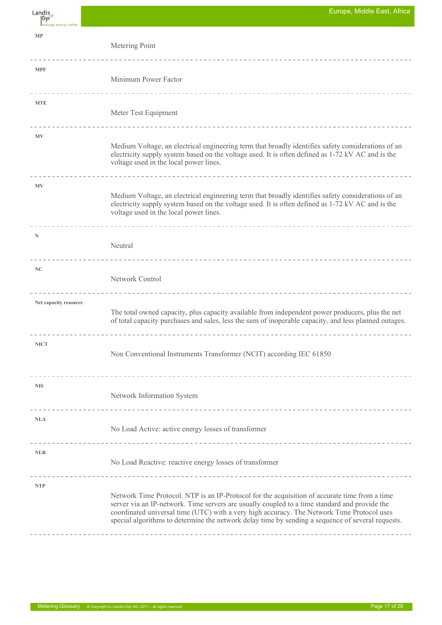| Landis<br>  Gyr             | Europe, Mildale East, Africa                                                                                                                                                                                                                                                                                                                                                                      |
|-----------------------------|---------------------------------------------------------------------------------------------------------------------------------------------------------------------------------------------------------------------------------------------------------------------------------------------------------------------------------------------------------------------------------------------------|
| Imanage energy better<br>MP |                                                                                                                                                                                                                                                                                                                                                                                                   |
|                             | Metering Point                                                                                                                                                                                                                                                                                                                                                                                    |
| <b>MPF</b>                  | Minimum Power Factor                                                                                                                                                                                                                                                                                                                                                                              |
|                             |                                                                                                                                                                                                                                                                                                                                                                                                   |
| <b>MTE</b>                  | Meter Test Equipment                                                                                                                                                                                                                                                                                                                                                                              |
| <b>MV</b>                   | Medium Voltage, an electrical engineering term that broadly identifies safety considerations of an                                                                                                                                                                                                                                                                                                |
|                             | electricity supply system based on the voltage used. It is often defined as 1-72 kV AC and is the<br>voltage used in the local power lines.                                                                                                                                                                                                                                                       |
| <b>MV</b>                   |                                                                                                                                                                                                                                                                                                                                                                                                   |
|                             | Medium Voltage, an electrical engineering term that broadly identifies safety considerations of an<br>electricity supply system based on the voltage used. It is often defined as 1-72 kV AC and is the<br>voltage used in the local power lines.                                                                                                                                                 |
| N                           |                                                                                                                                                                                                                                                                                                                                                                                                   |
|                             | Neutral                                                                                                                                                                                                                                                                                                                                                                                           |
| NC                          | Network Control                                                                                                                                                                                                                                                                                                                                                                                   |
| Net capacity resource       |                                                                                                                                                                                                                                                                                                                                                                                                   |
|                             | The total owned capacity, plus capacity available from independent power producers, plus the net<br>of total capacity purchases and sales, less the sum of inoperable capacity, and less planned outages.                                                                                                                                                                                         |
| <b>NICT</b>                 | Non Conventional Instruments Transformer (NCIT) according IEC 61850                                                                                                                                                                                                                                                                                                                               |
|                             |                                                                                                                                                                                                                                                                                                                                                                                                   |
| <b>NIS</b>                  | Network Information System                                                                                                                                                                                                                                                                                                                                                                        |
|                             |                                                                                                                                                                                                                                                                                                                                                                                                   |
| <b>NLA</b>                  | No Load Active: active energy losses of transformer                                                                                                                                                                                                                                                                                                                                               |
| <b>NLR</b>                  | No Load Reactive: reactive energy losses of transformer                                                                                                                                                                                                                                                                                                                                           |
| <b>NTP</b>                  |                                                                                                                                                                                                                                                                                                                                                                                                   |
|                             | Network Time Protocol. NTP is an IP-Protocol for the acquisition of accurate time from a time<br>server via an IP-network. Time servers are usually coupled to a time standard and provide the<br>coordinated universal time (UTC) with a very high accuracy. The Network Time Protocol uses<br>special algorithms to determine the network delay time by sending a sequence of several requests. |
|                             |                                                                                                                                                                                                                                                                                                                                                                                                   |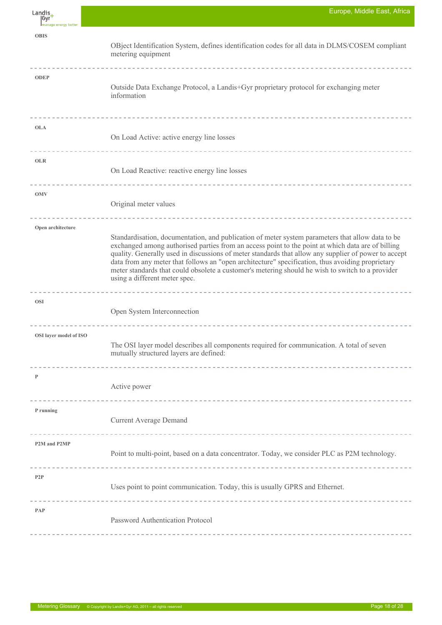| Landis,<br> Gyr<br>Imanage energy better | Europe, Middle East, Africa                                                                                                                                                                                                                                                                                                                                                                                                                                                                                                                            |
|------------------------------------------|--------------------------------------------------------------------------------------------------------------------------------------------------------------------------------------------------------------------------------------------------------------------------------------------------------------------------------------------------------------------------------------------------------------------------------------------------------------------------------------------------------------------------------------------------------|
| <b>OBIS</b>                              | OBject Identification System, defines identification codes for all data in DLMS/COSEM compliant<br>metering equipment                                                                                                                                                                                                                                                                                                                                                                                                                                  |
| <b>ODEP</b>                              | Outside Data Exchange Protocol, a Landis+Gyr proprietary protocol for exchanging meter<br>information                                                                                                                                                                                                                                                                                                                                                                                                                                                  |
| <b>OLA</b>                               | On Load Active: active energy line losses<br>-----------------------------                                                                                                                                                                                                                                                                                                                                                                                                                                                                             |
| <b>OLR</b>                               | On Load Reactive: reactive energy line losses<br>-----------------------------                                                                                                                                                                                                                                                                                                                                                                                                                                                                         |
| <b>OMV</b>                               | Original meter values                                                                                                                                                                                                                                                                                                                                                                                                                                                                                                                                  |
| Open architecture                        | Standardisation, documentation, and publication of meter system parameters that allow data to be<br>exchanged among authorised parties from an access point to the point at which data are of billing<br>quality. Generally used in discussions of meter standards that allow any supplier of power to accept<br>data from any meter that follows an "open architecture" specification, thus avoiding proprietary<br>meter standards that could obsolete a customer's metering should he wish to switch to a provider<br>using a different meter spec. |
| <b>OSI</b>                               | Open System Interconnection                                                                                                                                                                                                                                                                                                                                                                                                                                                                                                                            |
| OSI layer model of ISO                   | The OSI layer model describes all components required for communication. A total of seven<br>mutually structured layers are defined:                                                                                                                                                                                                                                                                                                                                                                                                                   |
| P                                        | Active power                                                                                                                                                                                                                                                                                                                                                                                                                                                                                                                                           |
| P running                                | <b>Current Average Demand</b>                                                                                                                                                                                                                                                                                                                                                                                                                                                                                                                          |
| P2M and P2MP                             | Point to multi-point, based on a data concentrator. Today, we consider PLC as P2M technology.                                                                                                                                                                                                                                                                                                                                                                                                                                                          |
| P2P                                      | Uses point to point communication. Today, this is usually GPRS and Ethernet.                                                                                                                                                                                                                                                                                                                                                                                                                                                                           |
| PAP                                      | Password Authentication Protocol                                                                                                                                                                                                                                                                                                                                                                                                                                                                                                                       |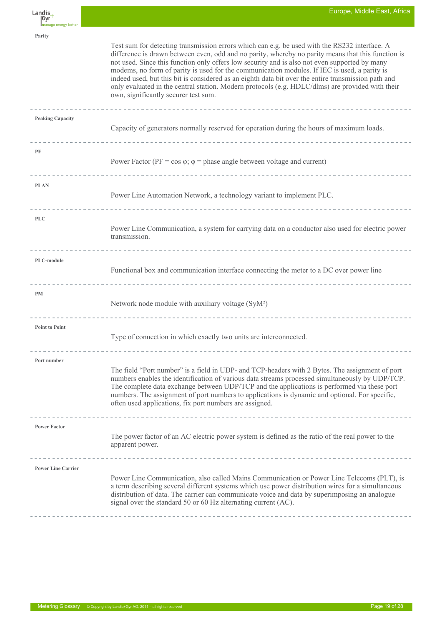$L$ andis $+$ Gvr

**Parity**

**PF**

**PLAN**

**PLC**

**PM**

Test sum for detecting transmission errors which can e.g. be used with the RS232 interface. A difference is drawn between even, odd and no parity, whereby no parity means that this function is not used. Since this function only offers low security and is also not even supported by many modems, no form of parity is used for the communication modules. If IEC is used, a parity is indeed used, but this bit is considered as an eighth data bit over the entire transmission path and only evaluated in the central station. Modern protocols (e.g. HDLC/dlms) are provided with their own, significantly securer test sum. **Peaking Capacity** Capacity of generators normally reserved for operation during the hours of maximum loads. Power Factor ( $PF = \cos \varphi$ ;  $\varphi =$  phase angle between voltage and current) Power Line Automation Network, a technology variant to implement PLC. Power Line Communication, a system for carrying data on a conductor also used for electric power transmission. **PLC-module** Functional box and communication interface connecting the meter to a DC over power line Network node module with auxiliary voltage (SyM²) **Point to Point** Type of connection in which exactly two units are interconnected. **Port number** The field "Port number" is a field in UDP- and TCP-headers with 2 Bytes. The assignment of port numbers enables the identification of various data streams processed simultaneously by UDP/TCP. The complete data exchange between UDP/TCP and the applications is performed via these port numbers. The assignment of port numbers to applications is dynamic and optional. For specific, often used applications, fix port numbers are assigned. **Power Factor** The power factor of an AC electric power system is defined as the ratio of the real power to the apparent power. **Power Line Carrier** Power Line Communication, also called Mains Communication or Power Line Telecoms (PLT), is a term describing several different systems which use power distribution wires for a simultaneous distribution of data. The carrier can communicate voice and data by superimposing an analogue signal over the standard 50 or 60 Hz alternating current (AC).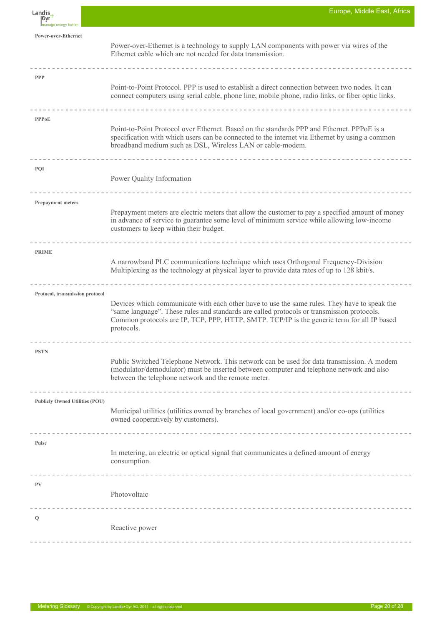| Landis,<br> Gyr<br>manage energy better | Europe, Middle East, Africa                                                                                                                                                                                                                                                                            |
|-----------------------------------------|--------------------------------------------------------------------------------------------------------------------------------------------------------------------------------------------------------------------------------------------------------------------------------------------------------|
| Power-over-Ethernet                     | Power-over-Ethernet is a technology to supply LAN components with power via wires of the<br>Ethernet cable which are not needed for data transmission.                                                                                                                                                 |
| <b>PPP</b>                              | Point-to-Point Protocol. PPP is used to establish a direct connection between two nodes. It can<br>connect computers using serial cable, phone line, mobile phone, radio links, or fiber optic links.                                                                                                  |
| <b>PPPoE</b>                            | Point-to-Point Protocol over Ethernet. Based on the standards PPP and Ethernet. PPPoE is a<br>specification with which users can be connected to the internet via Ethernet by using a common<br>broadband medium such as DSL, Wireless LAN or cable-modem.                                             |
| <b>PQI</b>                              | Power Quality Information<br>-------------------------------                                                                                                                                                                                                                                           |
| <b>Prepayment meters</b>                | Prepayment meters are electric meters that allow the customer to pay a specified amount of money<br>in advance of service to guarantee some level of minimum service while allowing low-income<br>customers to keep within their budget.                                                               |
| <b>PRIME</b>                            | A narrowband PLC communications technique which uses Orthogonal Frequency-Division<br>Multiplexing as the technology at physical layer to provide data rates of up to 128 kbit/s.                                                                                                                      |
| Protocol, transmission protocol         | Devices which communicate with each other have to use the same rules. They have to speak the<br>"same language". These rules and standards are called protocols or transmission protocols.<br>Common protocols are IP, TCP, PPP, HTTP, SMTP. TCP/IP is the generic term for all IP based<br>protocols. |
| <b>PSTN</b>                             | Public Switched Telephone Network. This network can be used for data transmission. A modem<br>(modulator/demodulator) must be inserted between computer and telephone network and also<br>between the telephone network and the remote meter.                                                          |
| <b>Publicly Owned Utilities (POU)</b>   | Municipal utilities (utilities owned by branches of local government) and/or co-ops (utilities<br>owned cooperatively by customers).                                                                                                                                                                   |
| Pulse                                   | In metering, an electric or optical signal that communicates a defined amount of energy<br>consumption.                                                                                                                                                                                                |
| PV                                      | Photovoltaic                                                                                                                                                                                                                                                                                           |
| Q                                       | Reactive power                                                                                                                                                                                                                                                                                         |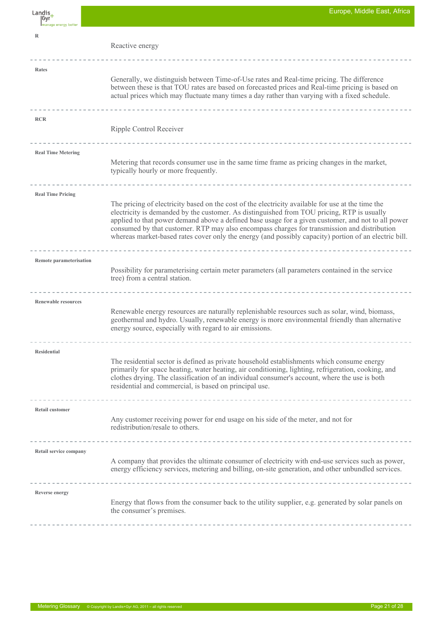| Landis_<br> Gyr            | Europe, Middle East, Africa                                                                                                                                                                                                                                                                                                                                                                                                                                                                                   |
|----------------------------|---------------------------------------------------------------------------------------------------------------------------------------------------------------------------------------------------------------------------------------------------------------------------------------------------------------------------------------------------------------------------------------------------------------------------------------------------------------------------------------------------------------|
| Imanage energy better      |                                                                                                                                                                                                                                                                                                                                                                                                                                                                                                               |
| $\mathbb R$                | Reactive energy                                                                                                                                                                                                                                                                                                                                                                                                                                                                                               |
| Rates                      |                                                                                                                                                                                                                                                                                                                                                                                                                                                                                                               |
|                            | Generally, we distinguish between Time-of-Use rates and Real-time pricing. The difference<br>between these is that TOU rates are based on forecasted prices and Real-time pricing is based on<br>actual prices which may fluctuate many times a day rather than varying with a fixed schedule.                                                                                                                                                                                                                |
| <b>RCR</b>                 |                                                                                                                                                                                                                                                                                                                                                                                                                                                                                                               |
|                            | Ripple Control Receiver                                                                                                                                                                                                                                                                                                                                                                                                                                                                                       |
| <b>Real Time Metering</b>  |                                                                                                                                                                                                                                                                                                                                                                                                                                                                                                               |
|                            | Metering that records consumer use in the same time frame as pricing changes in the market,<br>typically hourly or more frequently.                                                                                                                                                                                                                                                                                                                                                                           |
| <b>Real Time Pricing</b>   |                                                                                                                                                                                                                                                                                                                                                                                                                                                                                                               |
|                            | The pricing of electricity based on the cost of the electricity available for use at the time the<br>electricity is demanded by the customer. As distinguished from TOU pricing, RTP is usually<br>applied to that power demand above a defined base usage for a given customer, and not to all power<br>consumed by that customer. RTP may also encompass charges for transmission and distribution<br>whereas market-based rates cover only the energy (and possibly capacity) portion of an electric bill. |
| Remote parameterisation    |                                                                                                                                                                                                                                                                                                                                                                                                                                                                                                               |
|                            | Possibility for parameterising certain meter parameters (all parameters contained in the service<br>tree) from a central station.                                                                                                                                                                                                                                                                                                                                                                             |
| <b>Renewable resources</b> | --------------------------------------                                                                                                                                                                                                                                                                                                                                                                                                                                                                        |
|                            | Renewable energy resources are naturally replenishable resources such as solar, wind, biomass,<br>geothermal and hydro. Usually, renewable energy is more environmental friendly than alternative<br>energy source, especially with regard to air emissions.                                                                                                                                                                                                                                                  |
|                            |                                                                                                                                                                                                                                                                                                                                                                                                                                                                                                               |
| <b>Residential</b>         | The residential sector is defined as private household establishments which consume energy<br>primarily for space heating, water heating, air conditioning, lighting, refrigeration, cooking, and<br>clothes drying. The classification of an individual consumer's account, where the use is both<br>residential and commercial, is based on principal use.                                                                                                                                                  |
| Retail customer            |                                                                                                                                                                                                                                                                                                                                                                                                                                                                                                               |
|                            | Any customer receiving power for end usage on his side of the meter, and not for<br>redistribution/resale to others.                                                                                                                                                                                                                                                                                                                                                                                          |
|                            |                                                                                                                                                                                                                                                                                                                                                                                                                                                                                                               |
| Retail service company     | A company that provides the ultimate consumer of electricity with end-use services such as power,<br>energy efficiency services, metering and billing, on-site generation, and other unbundled services.                                                                                                                                                                                                                                                                                                      |
| <b>Reverse energy</b>      |                                                                                                                                                                                                                                                                                                                                                                                                                                                                                                               |
|                            | Energy that flows from the consumer back to the utility supplier, e.g. generated by solar panels on<br>the consumer's premises.                                                                                                                                                                                                                                                                                                                                                                               |
|                            |                                                                                                                                                                                                                                                                                                                                                                                                                                                                                                               |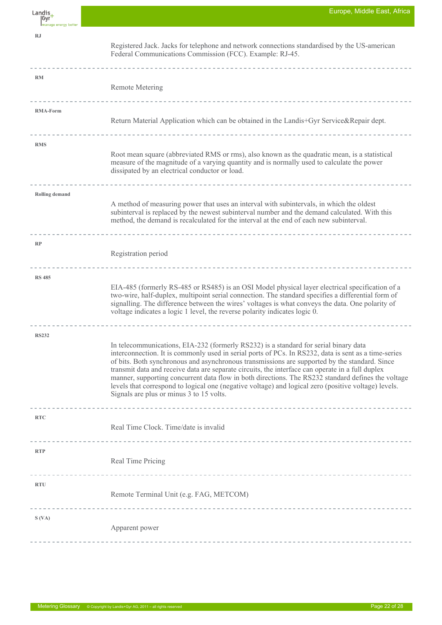| Landis,<br> Gyr<br>Imanage energy better | Europe, Middle East, Africa                                                                                                                                                                                                                                                                                                                                                                                                                                                                                                                                                                                                                                 |
|------------------------------------------|-------------------------------------------------------------------------------------------------------------------------------------------------------------------------------------------------------------------------------------------------------------------------------------------------------------------------------------------------------------------------------------------------------------------------------------------------------------------------------------------------------------------------------------------------------------------------------------------------------------------------------------------------------------|
| RJ                                       | Registered Jack. Jacks for telephone and network connections standardised by the US-american<br>Federal Communications Commission (FCC). Example: RJ-45.                                                                                                                                                                                                                                                                                                                                                                                                                                                                                                    |
| <b>RM</b>                                | <b>Remote Metering</b>                                                                                                                                                                                                                                                                                                                                                                                                                                                                                                                                                                                                                                      |
| <b>RMA-Form</b>                          | Return Material Application which can be obtained in the Landis+Gyr Service&Repair dept.                                                                                                                                                                                                                                                                                                                                                                                                                                                                                                                                                                    |
| <b>RMS</b>                               | Root mean square (abbreviated RMS or rms), also known as the quadratic mean, is a statistical<br>measure of the magnitude of a varying quantity and is normally used to calculate the power<br>dissipated by an electrical conductor or load.                                                                                                                                                                                                                                                                                                                                                                                                               |
| <b>Rolling demand</b>                    | -----------------------------<br>A method of measuring power that uses an interval with subintervals, in which the oldest<br>subinterval is replaced by the newest subinterval number and the demand calculated. With this<br>method, the demand is recalculated for the interval at the end of each new subinterval.                                                                                                                                                                                                                                                                                                                                       |
| RP                                       | Registration period                                                                                                                                                                                                                                                                                                                                                                                                                                                                                                                                                                                                                                         |
| <b>RS 485</b>                            | EIA-485 (formerly RS-485 or RS485) is an OSI Model physical layer electrical specification of a<br>two-wire, half-duplex, multipoint serial connection. The standard specifies a differential form of<br>signalling. The difference between the wires' voltages is what conveys the data. One polarity of<br>voltage indicates a logic 1 level, the reverse polarity indicates logic 0.                                                                                                                                                                                                                                                                     |
| <b>RS232</b>                             | In telecommunications, EIA-232 (formerly RS232) is a standard for serial binary data<br>interconnection. It is commonly used in serial ports of PCs. In RS232, data is sent as a time-series<br>of bits. Both synchronous and asynchronous transmissions are supported by the standard. Since<br>transmit data and receive data are separate circuits, the interface can operate in a full duplex<br>manner, supporting concurrent data flow in both directions. The RS232 standard defines the voltage<br>levels that correspond to logical one (negative voltage) and logical zero (positive voltage) levels.<br>Signals are plus or minus 3 to 15 volts. |
| <b>RTC</b>                               | Real Time Clock. Time/date is invalid                                                                                                                                                                                                                                                                                                                                                                                                                                                                                                                                                                                                                       |
| <b>RTP</b>                               | Real Time Pricing                                                                                                                                                                                                                                                                                                                                                                                                                                                                                                                                                                                                                                           |
| <b>RTU</b>                               | Remote Terminal Unit (e.g. FAG, METCOM)                                                                                                                                                                                                                                                                                                                                                                                                                                                                                                                                                                                                                     |
| S (VA)                                   | Apparent power                                                                                                                                                                                                                                                                                                                                                                                                                                                                                                                                                                                                                                              |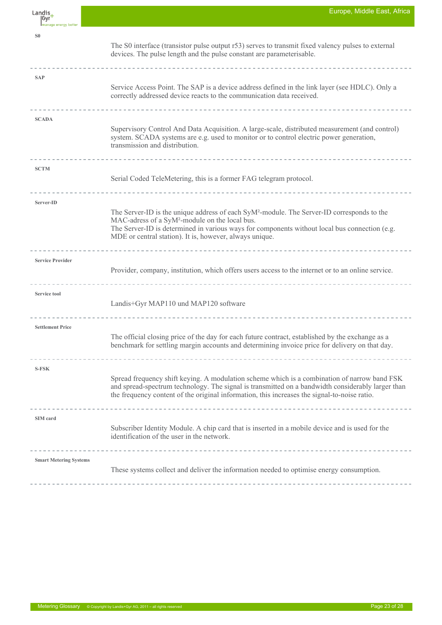| Landis<br> Gyr<br>Imanage energy better | Europe, Middle East, Africa                                                                                                                                                                                                                                                                                                                                               |
|-----------------------------------------|---------------------------------------------------------------------------------------------------------------------------------------------------------------------------------------------------------------------------------------------------------------------------------------------------------------------------------------------------------------------------|
| S <sub>0</sub>                          | The S0 interface (transistor pulse output r53) serves to transmit fixed valency pulses to external<br>devices. The pulse length and the pulse constant are parameterisable.                                                                                                                                                                                               |
| <b>SAP</b>                              | Service Access Point. The SAP is a device address defined in the link layer (see HDLC). Only a<br>correctly addressed device reacts to the communication data received.                                                                                                                                                                                                   |
| <b>SCADA</b>                            | Supervisory Control And Data Acquisition. A large-scale, distributed measurement (and control)<br>system. SCADA systems are e.g. used to monitor or to control electric power generation,<br>transmission and distribution.                                                                                                                                               |
| <b>SCTM</b>                             | Serial Coded TeleMetering, this is a former FAG telegram protocol.                                                                                                                                                                                                                                                                                                        |
| Server-ID                               | The Server-ID is the unique address of each SyM <sup>2</sup> -module. The Server-ID corresponds to the<br>MAC-adress of a SyM <sup>2</sup> -module on the local bus.<br>The Server-ID is determined in various ways for components without local bus connection (e.g.<br>MDE or central station). It is, however, always unique.<br>------------------------------------- |
| <b>Service Provider</b>                 | Provider, company, institution, which offers users access to the internet or to an online service.                                                                                                                                                                                                                                                                        |
| <b>Service tool</b>                     | Landis+Gyr MAP110 und MAP120 software                                                                                                                                                                                                                                                                                                                                     |
| <b>Settlement Price</b>                 | The official closing price of the day for each future contract, established by the exchange as a<br>benchmark for settling margin accounts and determining invoice price for delivery on that day.                                                                                                                                                                        |
| <b>S-FSK</b>                            | Spread frequency shift keying. A modulation scheme which is a combination of narrow band FSK<br>and spread-spectrum technology. The signal is transmitted on a bandwidth considerably larger than<br>the frequency content of the original information, this increases the signal-to-noise ratio.                                                                         |
| SIM card                                | Subscriber Identity Module. A chip card that is inserted in a mobile device and is used for the<br>identification of the user in the network.                                                                                                                                                                                                                             |
| <b>Smart Metering Systems</b>           | -------------------------------------<br>These systems collect and deliver the information needed to optimise energy consumption.                                                                                                                                                                                                                                         |

F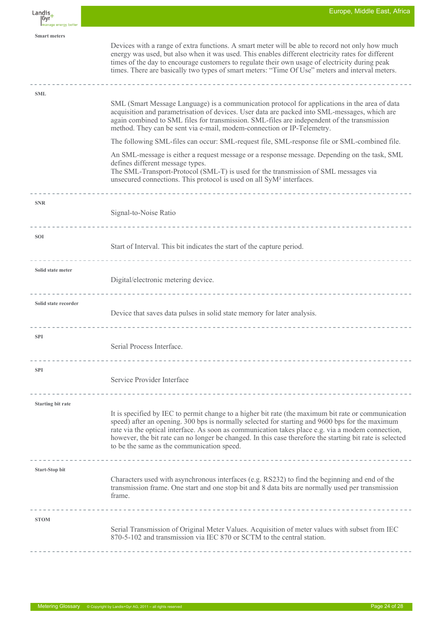| Landis,<br> Gyr<br>manage energy better | Europe, Middle East, Africa                                                                                                                                                                                                                                                                                                                                                                                                                                                                                                                                                                                                                                                                                                                                                            |
|-----------------------------------------|----------------------------------------------------------------------------------------------------------------------------------------------------------------------------------------------------------------------------------------------------------------------------------------------------------------------------------------------------------------------------------------------------------------------------------------------------------------------------------------------------------------------------------------------------------------------------------------------------------------------------------------------------------------------------------------------------------------------------------------------------------------------------------------|
| <b>Smart meters</b>                     | Devices with a range of extra functions. A smart meter will be able to record not only how much<br>energy was used, but also when it was used. This enables different electricity rates for different<br>times of the day to encourage customers to regulate their own usage of electricity during peak<br>times. There are basically two types of smart meters: "Time Of Use" meters and interval meters.                                                                                                                                                                                                                                                                                                                                                                             |
| <b>SML</b>                              | SML (Smart Message Language) is a communication protocol for applications in the area of data<br>acquisition and parametrisation of devices. User data are packed into SML-messages, which are<br>again combined to SML files for transmission. SML-files are independent of the transmission<br>method. They can be sent via e-mail, modem-connection or IP-Telemetry.<br>The following SML-files can occur: SML-request file, SML-response file or SML-combined file.<br>An SML-message is either a request message or a response message. Depending on the task, SML<br>defines different message types.<br>The SML-Transport-Protocol (SML-T) is used for the transmission of SML messages via<br>unsecured connections. This protocol is used on all SyM <sup>2</sup> interfaces. |
| <b>SNR</b>                              | Signal-to-Noise Ratio                                                                                                                                                                                                                                                                                                                                                                                                                                                                                                                                                                                                                                                                                                                                                                  |
| <b>SOI</b>                              | Start of Interval. This bit indicates the start of the capture period.                                                                                                                                                                                                                                                                                                                                                                                                                                                                                                                                                                                                                                                                                                                 |
| Solid state meter                       | Digital/electronic metering device.                                                                                                                                                                                                                                                                                                                                                                                                                                                                                                                                                                                                                                                                                                                                                    |
| Solid state recorder                    | Device that saves data pulses in solid state memory for later analysis.                                                                                                                                                                                                                                                                                                                                                                                                                                                                                                                                                                                                                                                                                                                |
| <b>SPI</b>                              | Serial Process Interface.<br>----------------------------                                                                                                                                                                                                                                                                                                                                                                                                                                                                                                                                                                                                                                                                                                                              |
| <b>SPI</b>                              | Service Provider Interface                                                                                                                                                                                                                                                                                                                                                                                                                                                                                                                                                                                                                                                                                                                                                             |
| <b>Starting bit rate</b>                | It is specified by IEC to permit change to a higher bit rate (the maximum bit rate or communication<br>speed) after an opening. 300 bps is normally selected for starting and 9600 bps for the maximum<br>rate via the optical interface. As soon as communication takes place e.g. via a modem connection,<br>however, the bit rate can no longer be changed. In this case therefore the starting bit rate is selected<br>to be the same as the communication speed.                                                                                                                                                                                                                                                                                                                  |
| <b>Start-Stop bit</b>                   | -------------------------------------<br>Characters used with asynchronous interfaces (e.g. RS232) to find the beginning and end of the<br>transmission frame. One start and one stop bit and 8 data bits are normally used per transmission<br>frame.                                                                                                                                                                                                                                                                                                                                                                                                                                                                                                                                 |
| <b>STOM</b>                             | Serial Transmission of Original Meter Values. Acquisition of meter values with subset from IEC<br>870-5-102 and transmission via IEC 870 or SCTM to the central station.                                                                                                                                                                                                                                                                                                                                                                                                                                                                                                                                                                                                               |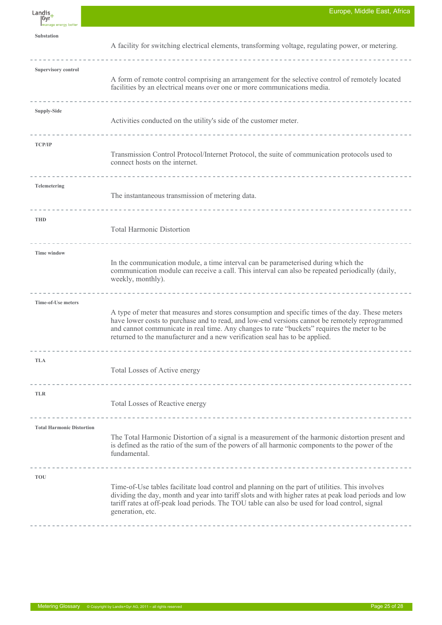$L$ andis $+$ Gvr **Substation** A facility for switching electrical elements, transforming voltage, regulating power, or metering. ---------**Supervisory control** A form of remote control comprising an arrangement for the selective control of remotely located facilities by an electrical means over one or more communications media. <u>. . . . . . . . . . . . . . . .</u> **Supply-Side** Activities conducted on the utility's side of the customer meter. <u> 2222222</u> <u>. . . . . . . . . . . . . . . .</u> **TCP/IP** Transmission Control Protocol/Internet Protocol, the suite of communication protocols used to connect hosts on the internet. -----------------**Telemetering** The instantaneous transmission of metering data. **THD** Total Harmonic Distortion **Time window** In the communication module, a time interval can be parameterised during which the communication module can receive a call. This interval can also be repeated periodically (daily, weekly, monthly). **Time-of-Use meters** A type of meter that measures and stores consumption and specific times of the day. These meters have lower costs to purchase and to read, and low-end versions cannot be remotely reprogrammed and cannot communicate in real time. Any changes to rate "buckets" requires the meter to be returned to the manufacturer and a new verification seal has to be applied. **TLA**  Total Losses of Active energy **TLR** Total Losses of Reactive energy **Total Harmonic Distortion** The Total Harmonic Distortion of a signal is a measurement of the harmonic distortion present and is defined as the ratio of the sum of the powers of all harmonic components to the power of the fundamental. **TOU**  Time-of-Use tables facilitate load control and planning on the part of utilities. This involves dividing the day, month and year into tariff slots and with higher rates at peak load periods and low tariff rates at off-peak load periods. The TOU table can also be used for load control, signal generation, etc.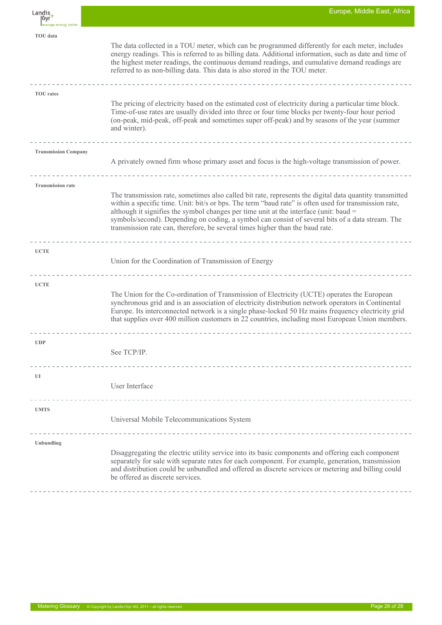| Landis,<br> Gyr<br>Imanage energy better | Europe, Middle East, Africa                                                                                                                                                                                                                                                                                                                                                                                                                                                                    |
|------------------------------------------|------------------------------------------------------------------------------------------------------------------------------------------------------------------------------------------------------------------------------------------------------------------------------------------------------------------------------------------------------------------------------------------------------------------------------------------------------------------------------------------------|
| <b>TOU</b> data                          | The data collected in a TOU meter, which can be programmed differently for each meter, includes<br>energy readings. This is referred to as billing data. Additional information, such as date and time of<br>the highest meter readings, the continuous demand readings, and cumulative demand readings are<br>referred to as non-billing data. This data is also stored in the TOU meter.                                                                                                     |
| <b>TOU</b> rates                         | The pricing of electricity based on the estimated cost of electricity during a particular time block.<br>Time-of-use rates are usually divided into three or four time blocks per twenty-four hour period<br>(on-peak, mid-peak, off-peak and sometimes super off-peak) and by seasons of the year (summer<br>and winter).                                                                                                                                                                     |
| <b>Transmission Company</b>              | A privately owned firm whose primary asset and focus is the high-voltage transmission of power.                                                                                                                                                                                                                                                                                                                                                                                                |
| <b>Transmission rate</b>                 | The transmission rate, sometimes also called bit rate, represents the digital data quantity transmitted<br>within a specific time. Unit: bit/s or bps. The term "baud rate" is often used for transmission rate,<br>although it signifies the symbol changes per time unit at the interface (unit: baud =<br>symbols/second). Depending on coding, a symbol can consist of several bits of a data stream. The<br>transmission rate can, therefore, be several times higher than the baud rate. |
| <b>UCTE</b>                              | Union for the Coordination of Transmission of Energy                                                                                                                                                                                                                                                                                                                                                                                                                                           |
| <b>UCTE</b>                              | The Union for the Co-ordination of Transmission of Electricity (UCTE) operates the European<br>synchronous grid and is an association of electricity distribution network operators in Continental<br>Europe. Its interconnected network is a single phase-locked 50 Hz mains frequency electricity grid<br>that supplies over 400 million customers in 22 countries, including most European Union members.                                                                                   |
| <b>UDP</b>                               | See TCP/IP.                                                                                                                                                                                                                                                                                                                                                                                                                                                                                    |
| UI                                       | User Interface                                                                                                                                                                                                                                                                                                                                                                                                                                                                                 |
| <b>UMTS</b>                              | Universal Mobile Telecommunications System                                                                                                                                                                                                                                                                                                                                                                                                                                                     |
| <b>Unbundling</b>                        | Disaggregating the electric utility service into its basic components and offering each component<br>separately for sale with separate rates for each component. For example, generation, transmission<br>and distribution could be unbundled and offered as discrete services or metering and billing could<br>be offered as discrete services.                                                                                                                                               |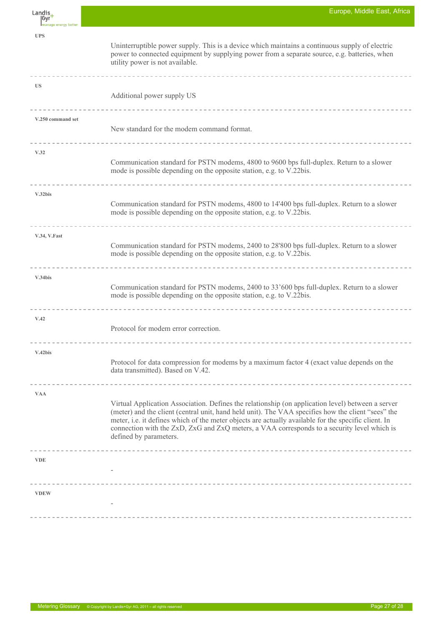| Landis<br> Gyr        | Europe, Middle East, Africa                                                                                                                                                                                                                                                                                                                                                                                                              |
|-----------------------|------------------------------------------------------------------------------------------------------------------------------------------------------------------------------------------------------------------------------------------------------------------------------------------------------------------------------------------------------------------------------------------------------------------------------------------|
| Imanage energy better |                                                                                                                                                                                                                                                                                                                                                                                                                                          |
| <b>UPS</b>            | Uninterruptible power supply. This is a device which maintains a continuous supply of electric<br>power to connected equipment by supplying power from a separate source, e.g. batteries, when<br>utility power is not available.                                                                                                                                                                                                        |
| <b>US</b>             | Additional power supply US                                                                                                                                                                                                                                                                                                                                                                                                               |
|                       |                                                                                                                                                                                                                                                                                                                                                                                                                                          |
| V.250 command set     | New standard for the modem command format.                                                                                                                                                                                                                                                                                                                                                                                               |
| V.32                  |                                                                                                                                                                                                                                                                                                                                                                                                                                          |
|                       | Communication standard for PSTN modems, 4800 to 9600 bps full-duplex. Return to a slower<br>mode is possible depending on the opposite station, e.g. to V.22bis.                                                                                                                                                                                                                                                                         |
| V.32bis               |                                                                                                                                                                                                                                                                                                                                                                                                                                          |
|                       | Communication standard for PSTN modems, 4800 to 14'400 bps full-duplex. Return to a slower<br>mode is possible depending on the opposite station, e.g. to V.22bis.                                                                                                                                                                                                                                                                       |
| V.34, V.Fast          | Communication standard for PSTN modems, 2400 to 28'800 bps full-duplex. Return to a slower<br>mode is possible depending on the opposite station, e.g. to V.22bis.                                                                                                                                                                                                                                                                       |
| V.34bis               | Communication standard for PSTN modems, 2400 to 33'600 bps full-duplex. Return to a slower<br>mode is possible depending on the opposite station, e.g. to V.22bis.                                                                                                                                                                                                                                                                       |
| V.42                  | Protocol for modem error correction.                                                                                                                                                                                                                                                                                                                                                                                                     |
|                       |                                                                                                                                                                                                                                                                                                                                                                                                                                          |
| V.42bis               | Protocol for data compression for modems by a maximum factor 4 (exact value depends on the<br>data transmitted). Based on V.42.                                                                                                                                                                                                                                                                                                          |
| <b>VAA</b>            | Virtual Application Association. Defines the relationship (on application level) between a server<br>(meter) and the client (central unit, hand held unit). The VAA specifies how the client "sees" the<br>meter, i.e. it defines which of the meter objects are actually available for the specific client. In<br>connection with the ZxD, ZxG and ZxQ meters, a VAA corresponds to a security level which is<br>defined by parameters. |
| <b>VDE</b>            |                                                                                                                                                                                                                                                                                                                                                                                                                                          |
| <b>VDEW</b>           |                                                                                                                                                                                                                                                                                                                                                                                                                                          |
|                       |                                                                                                                                                                                                                                                                                                                                                                                                                                          |